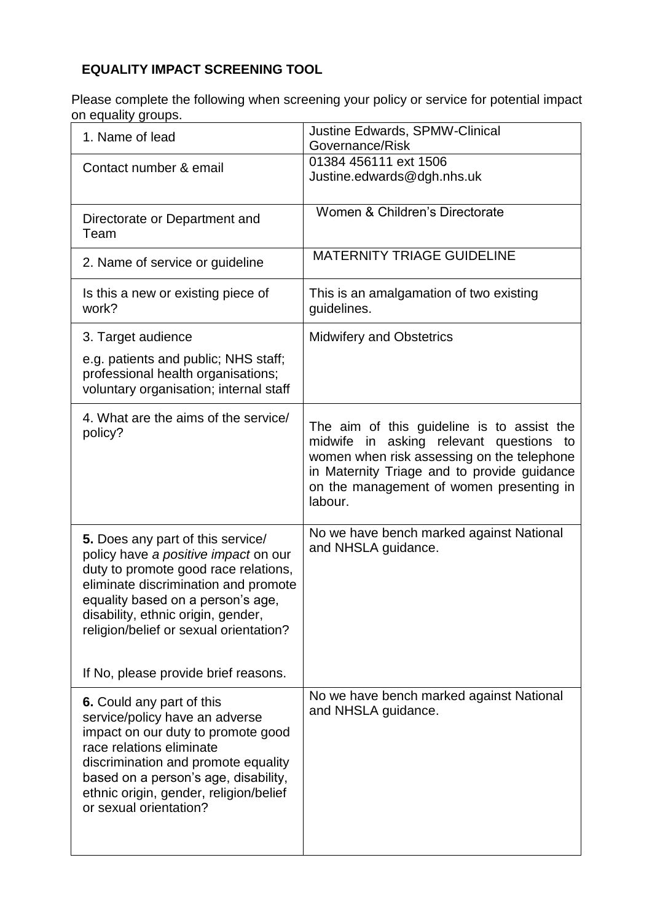## **EQUALITY IMPACT SCREENING TOOL**

Please complete the following when screening your policy or service for potential impact on equality groups.

| 1. Name of lead                                                                                                                                                                                                                                                                                                        | Justine Edwards, SPMW-Clinical<br>Governance/Risk                                                                                                                                                                                         |
|------------------------------------------------------------------------------------------------------------------------------------------------------------------------------------------------------------------------------------------------------------------------------------------------------------------------|-------------------------------------------------------------------------------------------------------------------------------------------------------------------------------------------------------------------------------------------|
| Contact number & email                                                                                                                                                                                                                                                                                                 | 01384 456111 ext 1506<br>Justine.edwards@dgh.nhs.uk                                                                                                                                                                                       |
| Directorate or Department and<br>Team                                                                                                                                                                                                                                                                                  | Women & Children's Directorate                                                                                                                                                                                                            |
| 2. Name of service or guideline                                                                                                                                                                                                                                                                                        | <b>MATERNITY TRIAGE GUIDELINE</b>                                                                                                                                                                                                         |
| Is this a new or existing piece of<br>work?                                                                                                                                                                                                                                                                            | This is an amalgamation of two existing<br>guidelines.                                                                                                                                                                                    |
| 3. Target audience<br>e.g. patients and public; NHS staff;<br>professional health organisations;<br>voluntary organisation; internal staff                                                                                                                                                                             | <b>Midwifery and Obstetrics</b>                                                                                                                                                                                                           |
| 4. What are the aims of the service/<br>policy?                                                                                                                                                                                                                                                                        | The aim of this guideline is to assist the<br>midwife in asking relevant questions to<br>women when risk assessing on the telephone<br>in Maternity Triage and to provide guidance<br>on the management of women presenting in<br>labour. |
| 5. Does any part of this service/<br>policy have a positive impact on our<br>duty to promote good race relations,<br>eliminate discrimination and promote<br>equality based on a person's age,<br>disability, ethnic origin, gender,<br>religion/belief or sexual orientation?<br>If No, please provide brief reasons. | No we have bench marked against National<br>and NHSLA guidance.                                                                                                                                                                           |
| 6. Could any part of this<br>service/policy have an adverse<br>impact on our duty to promote good<br>race relations eliminate<br>discrimination and promote equality<br>based on a person's age, disability,<br>ethnic origin, gender, religion/belief<br>or sexual orientation?                                       | No we have bench marked against National<br>and NHSLA guidance.                                                                                                                                                                           |